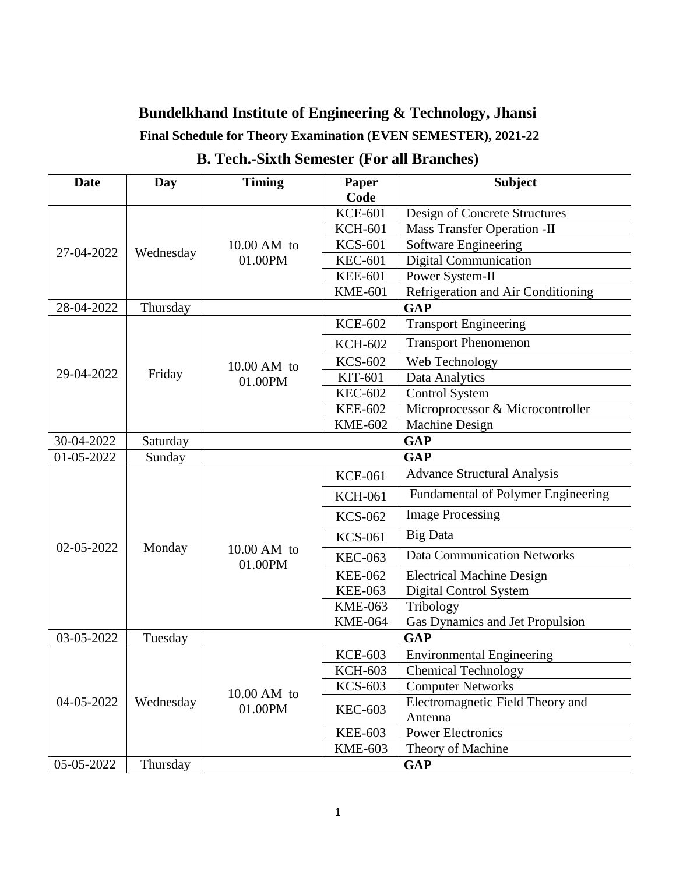**Final Schedule for Theory Examination (EVEN SEMESTER), 2021-22**

| <b>Date</b> | Day       | <b>Timing</b>          | Paper          | <b>Subject</b>                     |
|-------------|-----------|------------------------|----------------|------------------------------------|
|             |           |                        | Code           |                                    |
| 27-04-2022  |           |                        | <b>KCE-601</b> | Design of Concrete Structures      |
|             | Wednesday |                        | <b>KCH-601</b> | <b>Mass Transfer Operation -II</b> |
|             |           | $10.00$ AM to          | <b>KCS-601</b> | Software Engineering               |
|             |           | 01.00PM                | <b>KEC-601</b> | <b>Digital Communication</b>       |
|             |           |                        | <b>KEE-601</b> | Power System-II                    |
|             |           |                        | <b>KME-601</b> | Refrigeration and Air Conditioning |
| 28-04-2022  | Thursday  | <b>GAP</b>             |                |                                    |
|             |           | 10.00 AM to<br>01.00PM | <b>KCE-602</b> | <b>Transport Engineering</b>       |
|             |           |                        | <b>KCH-602</b> | <b>Transport Phenomenon</b>        |
|             |           |                        | <b>KCS-602</b> | Web Technology                     |
| 29-04-2022  | Friday    |                        | KIT-601        | Data Analytics                     |
|             |           |                        | <b>KEC-602</b> | <b>Control System</b>              |
|             |           |                        | <b>KEE-602</b> | Microprocessor & Microcontroller   |
|             |           |                        | <b>KME-602</b> | Machine Design                     |
| 30-04-2022  | Saturday  | <b>GAP</b>             |                |                                    |
| 01-05-2022  | Sunday    | <b>GAP</b>             |                |                                    |
|             |           | 10.00 AM to<br>01.00PM | <b>KCE-061</b> | <b>Advance Structural Analysis</b> |
|             | Monday    |                        | <b>KCH-061</b> | Fundamental of Polymer Engineering |
|             |           |                        | <b>KCS-062</b> | <b>Image Processing</b>            |
| 02-05-2022  |           |                        | <b>KCS-061</b> | <b>Big Data</b>                    |
|             |           |                        | <b>KEC-063</b> | <b>Data Communication Networks</b> |
|             |           |                        | <b>KEE-062</b> | <b>Electrical Machine Design</b>   |
|             |           |                        | <b>KEE-063</b> | Digital Control System             |
|             |           |                        | <b>KME-063</b> | Tribology                          |
|             |           |                        | <b>KME-064</b> | Gas Dynamics and Jet Propulsion    |
| 03-05-2022  | Tuesday   | <b>GAP</b>             |                |                                    |
| 04-05-2022  | Wednesday | 10.00 AM to<br>01.00PM | <b>KCE-603</b> | <b>Environmental Engineering</b>   |
|             |           |                        | <b>KCH-603</b> | <b>Chemical Technology</b>         |
|             |           |                        | <b>KCS-603</b> | <b>Computer Networks</b>           |
|             |           |                        | <b>KEC-603</b> | Electromagnetic Field Theory and   |
|             |           |                        |                | Antenna                            |
|             |           |                        | <b>KEE-603</b> | <b>Power Electronics</b>           |
|             |           |                        | <b>KME-603</b> | Theory of Machine                  |
| 05-05-2022  | Thursday  | <b>GAP</b>             |                |                                    |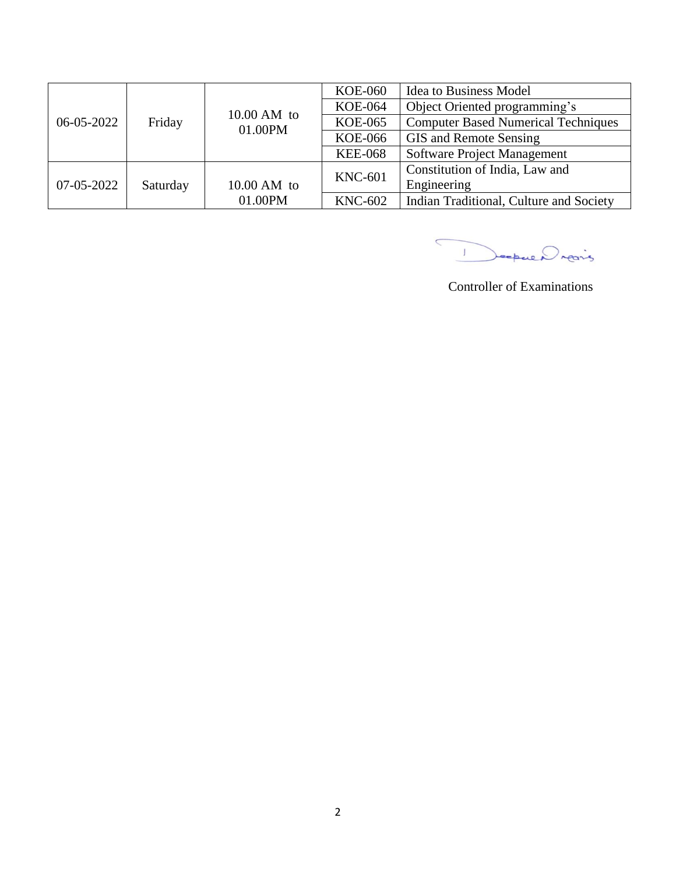|            |          |                          | <b>KOE-060</b> | <b>Idea to Business Model</b>              |
|------------|----------|--------------------------|----------------|--------------------------------------------|
| 06-05-2022 | Friday   | $10.00$ AM to<br>01.00PM | <b>KOE-064</b> | Object Oriented programming's              |
|            |          |                          | <b>KOE-065</b> | <b>Computer Based Numerical Techniques</b> |
|            |          |                          | <b>KOE-066</b> | GIS and Remote Sensing                     |
|            |          |                          | <b>KEE-068</b> | Software Project Management                |
|            |          |                          | <b>KNC-601</b> | Constitution of India, Law and             |
| 07-05-2022 | Saturday | $10.00$ AM to            |                | Engineering                                |
|            |          | 01.00PM                  | <b>KNC-602</b> | Indian Traditional, Culture and Society    |

Depuis

Controller of Examinations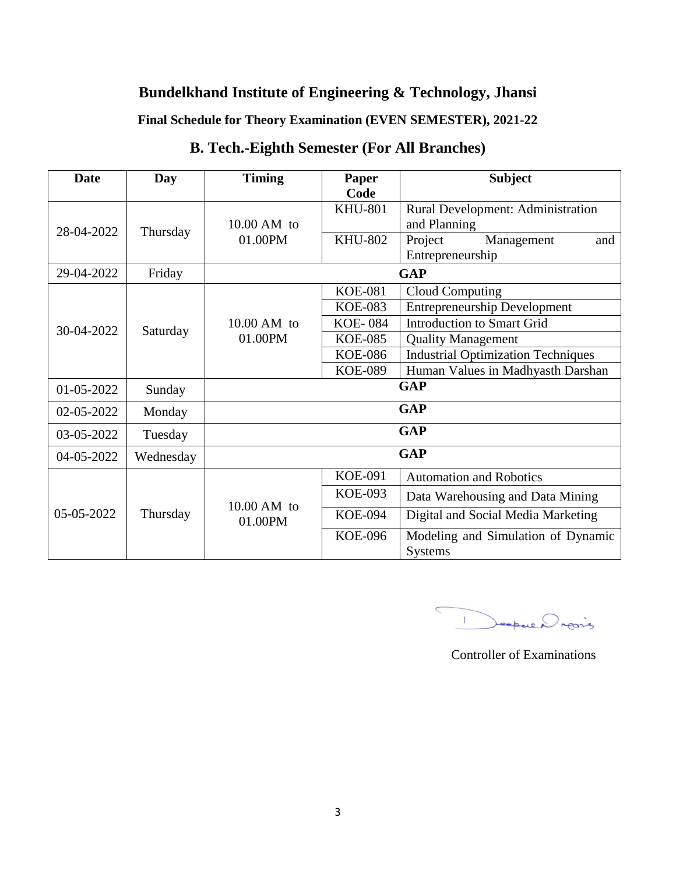**Final Schedule for Theory Examination (EVEN SEMESTER), 2021-22**

| <b>Date</b> | Day       | <b>Timing</b>            | Paper                  | <b>Subject</b>                                       |
|-------------|-----------|--------------------------|------------------------|------------------------------------------------------|
| 28-04-2022  | Thursday  | $10.00$ AM to<br>01.00PM | Code<br><b>KHU-801</b> | Rural Development: Administration<br>and Planning    |
|             |           |                          | <b>KHU-802</b>         | Project<br>Management<br>and<br>Entrepreneurship     |
| 29-04-2022  | Friday    | <b>GAP</b>               |                        |                                                      |
|             |           | $10.00$ AM to<br>01.00PM | <b>KOE-081</b>         | <b>Cloud Computing</b>                               |
|             |           |                          | <b>KOE-083</b>         | <b>Entrepreneurship Development</b>                  |
| 30-04-2022  | Saturday  |                          | <b>KOE-084</b>         | <b>Introduction to Smart Grid</b>                    |
|             |           |                          | <b>KOE-085</b>         | <b>Quality Management</b>                            |
|             |           |                          | <b>KOE-086</b>         | <b>Industrial Optimization Techniques</b>            |
|             |           |                          | <b>KOE-089</b>         | Human Values in Madhyasth Darshan                    |
| 01-05-2022  | Sunday    | <b>GAP</b>               |                        |                                                      |
| 02-05-2022  | Monday    | <b>GAP</b>               |                        |                                                      |
| 03-05-2022  | Tuesday   | <b>GAP</b>               |                        |                                                      |
| 04-05-2022  | Wednesday | <b>GAP</b>               |                        |                                                      |
| 05-05-2022  | Thursday  | $10.00$ AM to<br>01.00PM | <b>KOE-091</b>         | <b>Automation and Robotics</b>                       |
|             |           |                          | <b>KOE-093</b>         | Data Warehousing and Data Mining                     |
|             |           |                          | <b>KOE-094</b>         | Digital and Social Media Marketing                   |
|             |           |                          | <b>KOE-096</b>         | Modeling and Simulation of Dynamic<br><b>Systems</b> |

## **B. Tech.-Eighth Semester (For All Branches)**

 $\subset$ 1 Deepwer rearing

Controller of Examinations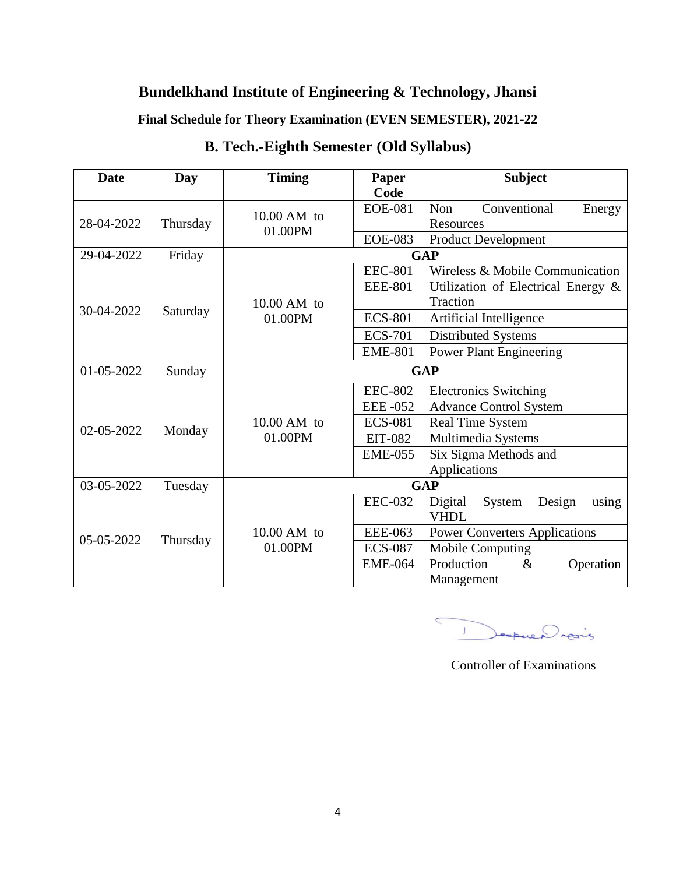**Final Schedule for Theory Examination (EVEN SEMESTER), 2021-22**

| <b>Date</b> | Day      | <b>Timing</b>            | Paper<br>Code  | <b>Subject</b>                          |
|-------------|----------|--------------------------|----------------|-----------------------------------------|
| 28-04-2022  | Thursday | $10.00$ AM to<br>01.00PM | <b>EOE-081</b> | Non<br>Conventional<br>Energy           |
|             |          |                          | <b>EOE-083</b> | Resources<br><b>Product Development</b> |
| 29-04-2022  | Friday   |                          |                | <b>GAP</b>                              |
|             | Saturday | $10.00$ AM to<br>01.00PM | <b>EEC-801</b> | Wireless & Mobile Communication         |
|             |          |                          | <b>EEE-801</b> | Utilization of Electrical Energy $\&$   |
|             |          |                          |                | Traction                                |
| 30-04-2022  |          |                          | <b>ECS-801</b> | Artificial Intelligence                 |
|             |          |                          | <b>ECS-701</b> | Distributed Systems                     |
|             |          |                          | <b>EME-801</b> | <b>Power Plant Engineering</b>          |
| 01-05-2022  | Sunday   | <b>GAP</b>               |                |                                         |
|             | Monday   | $10.00$ AM to<br>01.00PM | <b>EEC-802</b> | <b>Electronics Switching</b>            |
|             |          |                          | <b>EEE-052</b> | <b>Advance Control System</b>           |
| 02-05-2022  |          |                          | <b>ECS-081</b> | <b>Real Time System</b>                 |
|             |          |                          | <b>EIT-082</b> | Multimedia Systems                      |
|             |          |                          | <b>EME-055</b> | Six Sigma Methods and                   |
|             |          |                          |                | Applications                            |
| 03-05-2022  | Tuesday  | <b>GAP</b>               |                |                                         |
| 05-05-2022  | Thursday |                          | <b>EEC-032</b> | Digital<br>Design<br>System<br>using    |
|             |          |                          |                | <b>VHDL</b>                             |
|             |          | $10.00$ AM to<br>01.00PM | <b>EEE-063</b> | <b>Power Converters Applications</b>    |
|             |          |                          | <b>ECS-087</b> | Mobile Computing                        |
|             |          |                          | <b>EME-064</b> | Production<br>Operation<br>$\&$         |
|             |          |                          |                | Management                              |

## **B. Tech.-Eighth Semester (Old Syllabus)**

 $\overline{C}$ Jeopue Drains  $\mathbf{T}$ 

Controller of Examinations